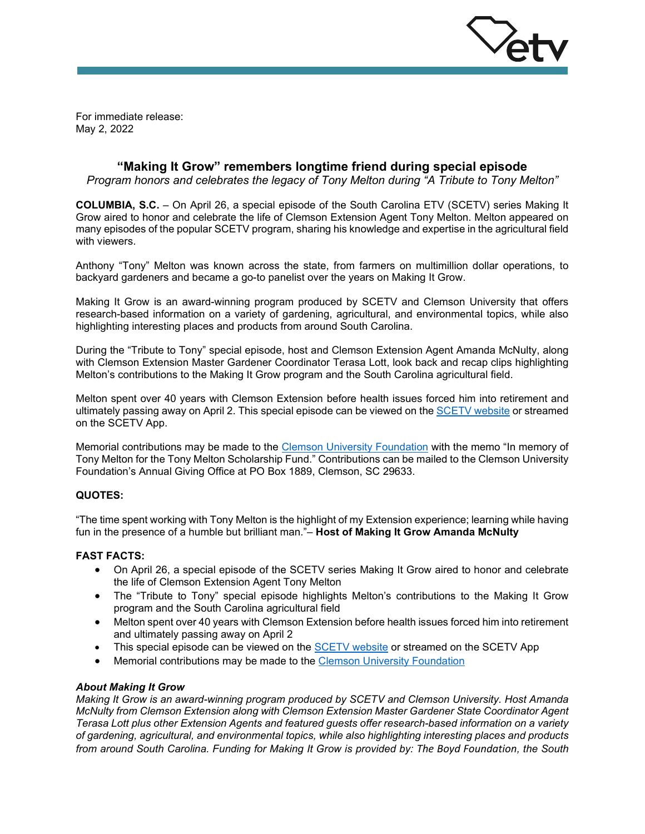

For immediate release: May 2, 2022

# **"Making It Grow" remembers longtime friend during special episode**

*Program honors and celebrates the legacy of Tony Melton during "A Tribute to Tony Melton"* 

**COLUMBIA, S.C.** – On April 26, a special episode of the South Carolina ETV (SCETV) series Making It Grow aired to honor and celebrate the life of Clemson Extension Agent Tony Melton. Melton appeared on many episodes of the popular SCETV program, sharing his knowledge and expertise in the agricultural field with viewers.

Anthony "Tony" Melton was known across the state, from farmers on multimillion dollar operations, to backyard gardeners and became a go-to panelist over the years on Making It Grow.

Making It Grow is an award-winning program produced by SCETV and Clemson University that offers research-based information on a variety of gardening, agricultural, and environmental topics, while also highlighting interesting places and products from around South Carolina.

During the "Tribute to Tony" special episode, host and Clemson Extension Agent Amanda McNulty, along with Clemson Extension Master Gardener Coordinator Terasa Lott, look back and recap clips highlighting Melton's contributions to the Making It Grow program and the South Carolina agricultural field.

Melton spent over 40 years with Clemson Extension before health issues forced him into retirement and ultimately passing away on April 2. This special episode can be viewed on th[e SCETV website](https://www.scetv.org/watch/making-it-grow) or streamed on the SCETV App.

Memorial contributions may be made to the [Clemson University Foundation](https://www.clemson.edu/giving/cufoundations/) with the memo "In memory of Tony Melton for the Tony Melton Scholarship Fund." Contributions can be mailed to the Clemson University Foundation's Annual Giving Office at PO Box 1889, Clemson, SC 29633.

## **QUOTES:**

"The time spent working with Tony Melton is the highlight of my Extension experience; learning while having fun in the presence of a humble but brilliant man."– **Host of Making It Grow Amanda McNulty**

## **FAST FACTS:**

- On April 26, a special episode of the SCETV series Making It Grow aired to honor and celebrate the life of Clemson Extension Agent Tony Melton
- The "Tribute to Tony" special episode highlights Melton's contributions to the Making It Grow program and the South Carolina agricultural field
- Melton spent over 40 years with Clemson Extension before health issues forced him into retirement and ultimately passing away on April 2
- This special episode can be viewed on the [SCETV website](https://www.scetv.org/watch/making-it-grow) or streamed on the SCETV App
- Memorial contributions may be made to the [Clemson University Foundation](https://www.clemson.edu/giving/cufoundations/)

#### *About Making It Grow*

*Making It Grow is an award-winning program produced by SCETV and Clemson University. Host Amanda McNulty from Clemson Extension along with Clemson Extension Master Gardener State Coordinator Agent Terasa Lott plus other Extension Agents and featured guests offer research-based information on a variety of gardening, agricultural, and environmental topics, while also highlighting interesting places and products from around South Carolina. Funding for Making It Grow is provided by: The Boyd Foundation, the South*